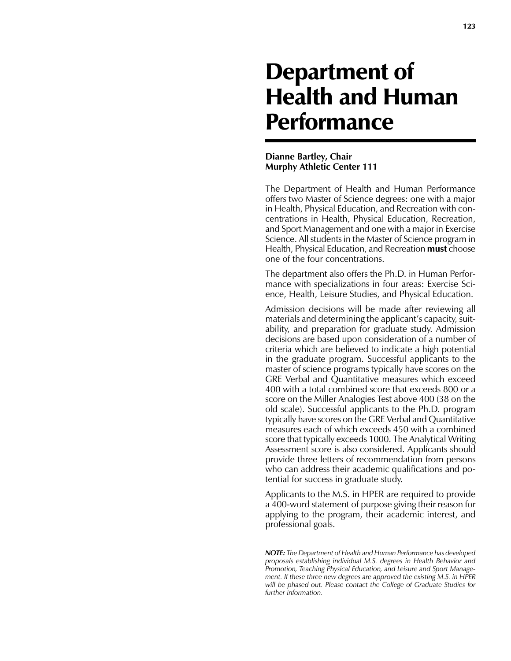# Department of Health and Human **Performance**

## **Dianne Bartley, Chair Murphy Athletic Center 111**

The Department of Health and Human Performance offers two Master of Science degrees: one with a major in Health, Physical Education, and Recreation with concentrations in Health, Physical Education, Recreation, and Sport Management and one with a major in Exercise Science. All students in the Master of Science program in Health, Physical Education, and Recreation **must** choose one of the four concentrations.

The department also offers the Ph.D. in Human Performance with specializations in four areas: Exercise Science, Health, Leisure Studies, and Physical Education.

Admission decisions will be made after reviewing all materials and determining the applicant's capacity, suitability, and preparation for graduate study. Admission decisions are based upon consideration of a number of criteria which are believed to indicate a high potential in the graduate program. Successful applicants to the master of science programs typically have scores on the GRE Verbal and Quantitative measures which exceed 400 with a total combined score that exceeds 800 or a score on the Miller Analogies Test above 400 (38 on the old scale). Successful applicants to the Ph.D. program typically have scores on the GRE Verbal and Quantitative measures each of which exceeds 450 with a combined score that typically exceeds 1000. The Analytical Writing Assessment score is also considered. Applicants should provide three letters of recommendation from persons who can address their academic qualifications and potential for success in graduate study.

Applicants to the M.S. in HPER are required to provide a 400-word statement of purpose giving their reason for applying to the program, their academic interest, and professional goals.

*NOTE: The Department of Health and Human Performance has developed proposals establishing individual M.S. degrees in Health Behavior and Promotion, Teaching Physical Education, and Leisure and Sport Management. If these three new degrees are approved the existing M.S. in HPER will be phased out. Please contact the College of Graduate Studies for further information.*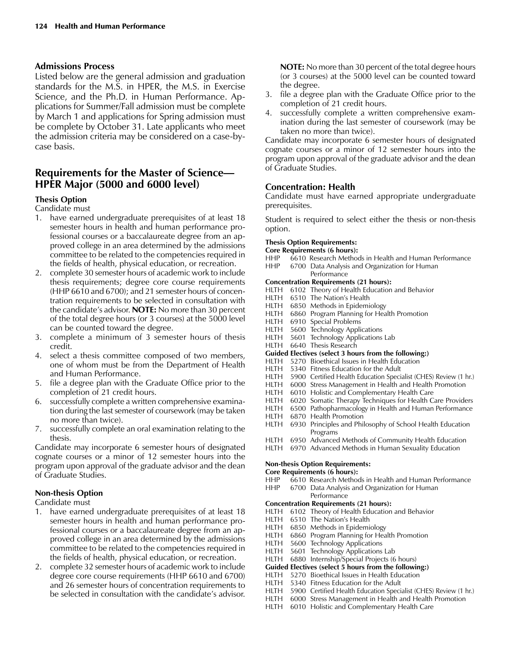## **Admissions Process**

Listed below are the general admission and graduation standards for the M.S. in HPER, the M.S. in Exercise Science, and the Ph.D. in Human Performance. Applications for Summer/Fall admission must be complete by March 1 and applications for Spring admission must be complete by October 31. Late applicants who meet the admission criteria may be considered on a case-bycase basis.

## **Requirements for the Master of Science— HPER Major (5000 and 6000 level)**

## **Thesis Option**

Candidate must

- 1. have earned undergraduate prerequisites of at least 18 semester hours in health and human performance professional courses or a baccalaureate degree from an approved college in an area determined by the admissions committee to be related to the competencies required in the fields of health, physical education, or recreation.
- 2. complete 30 semester hours of academic work to include thesis requirements; degree core course requirements (HHP 6610 and 6700); and 21 semester hours of concentration requirements to be selected in consultation with the candidate's advisor. **NOTE:** No more than 30 percent of the total degree hours (or 3 courses) at the 5000 level can be counted toward the degree.
- 3. complete a minimum of 3 semester hours of thesis credit.
- 4. select a thesis committee composed of two members, one of whom must be from the Department of Health and Human Performance.
- 5. file a degree plan with the Graduate Office prior to the completion of 21 credit hours.
- 6. successfully complete a written comprehensive examination during the last semester of coursework (may be taken no more than twice).
- 7. successfully complete an oral examination relating to the thesis.

Candidate may incorporate 6 semester hours of designated cognate courses or a minor of 12 semester hours into the program upon approval of the graduate advisor and the dean of Graduate Studies.

## **Non-thesis Option**

Candidate must

- 1. have earned undergraduate prerequisites of at least 18 semester hours in health and human performance professional courses or a baccalaureate degree from an approved college in an area determined by the admissions committee to be related to the competencies required in the fields of health, physical education, or recreation.
- 2. complete 32 semester hours of academic work to include degree core course requirements (HHP 6610 and 6700) and 26 semester hours of concentration requirements to be selected in consultation with the candidate's advisor.

**NOTE:** No more than 30 percent of the total degree hours (or 3 courses) at the 5000 level can be counted toward the degree.

- 3. file a degree plan with the Graduate Office prior to the completion of 21 credit hours.
- 4. successfully complete a written comprehensive examination during the last semester of coursework (may be taken no more than twice).

Candidate may incorporate 6 semester hours of designated cognate courses or a minor of 12 semester hours into the program upon approval of the graduate advisor and the dean of Graduate Studies.

## **Concentration: Health**

Candidate must have earned appropriate undergraduate prerequisites.

Student is required to select either the thesis or non-thesis option.

## **Thesis Option Requirements:**

**Core Requirements (6 hours):**

- HHP 6610 Research Methods in Health and Human Performance HHP 6700 Data Analysis and Organization for Human
- **Performance**
- **Concentration Requirements (21 hours):**
- HLTH 6102 Theory of Health Education and Behavior<br>HLTH 6510 The Nation's Health
- 6510 The Nation's Health
- HLTH 6850 Methods in Epidemiology
- HLTH 6860 Program Planning for Health Promotion<br>HLTH 6910 Special Problems
- 6910 Special Problems
- HLTH 5600 Technology Applications
- HLTH 5601 Technology Applications Lab
- HLTH 6640 Thesis Research
- **Guided Electives (select 3 hours from the following:)**
- HLTH 5270 Bioethical Issues in Health Education<br>HLTH 5340 Fitness Education for the Adult
- 5340 Fitness Education for the Adult
- HLTH 5900 Certified Health Education Specialist (CHES) Review (1 hr.)
- HLTH 6000 Stress Management in Health and Health Promotion<br>HLTH 6010 Holistic and Complementary Health Care
- 6010 Holistic and Complementary Health Care
- HLTH 6020 Somatic Therapy Techniques for Health Care Providers
- HLTH 6500 Pathopharmacology in Health and Human Performance<br>HLTH 6870 Health Promotion
- 6870 Health Promotion
- HLTH 6930 Principles and Philosophy of School Health Education Programs<br>HLTH 6950 Advancec
- 6950 Advanced Methods of Community Health Education
- HLTH 6970 Advanced Methods in Human Sexuality Education

## **Non-thesis Option Requirements:**

**Core Requirements (6 hours):**

- HHP 6610 Research Methods in Health and Human Performance<br>HHP 6700 Data Analysis and Organization for Human
- 6700 Data Analysis and Organization for Human

## **Performance**

- **Concentration Requirements (21 hours):** HLTH 6102 Theory of Health Education and Behavior
- HLTH 6510 The Nation's Health
- 
- HLTH 6850 Methods in Epidemiology<br>HLTH 6860 Program Planning for Hea 6860 Program Planning for Health Promotion
- HLTH 5600 Technology Applications
- 
- HLTH 5601 Technology Applications Lab<br>HLTH 6880 Internship/Special Projects (6  $6880$  Internship/Special Projects (6 hours)
- **Guided Electives (select 5 hours from the following:)**

## HLTH 5270 Bioethical Issues in Health Education

- HLTH 5340 Fitness Education for the Adult
- HLTH 5900 Certified Health Education Specialist (CHES) Review (1 hr.)
- HLTH 6000 Stress Management in Health and Health Promotion
- HLTH 6010 Holistic and Complementary Health Care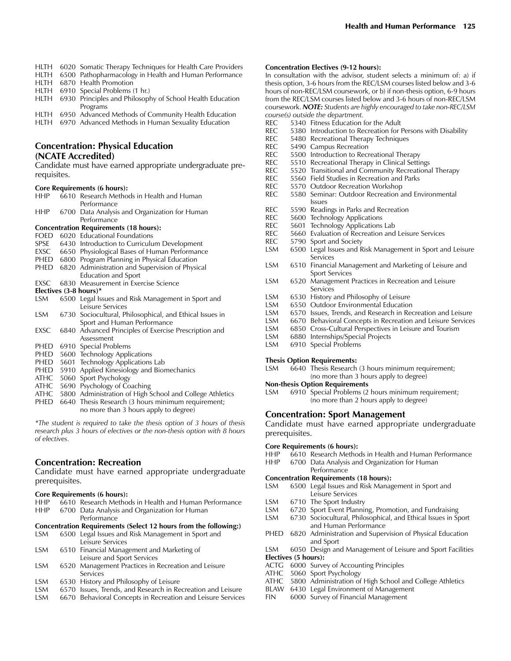- HLTH 6020 Somatic Therapy Techniques for Health Care Providers
- HLTH 6500 Pathopharmacology in Health and Human Performance
- HLTH 6870 Health Promotion
- HLTH 6910 Special Problems (1 hr.)
- HLTH 6930 Principles and Philosophy of School Health Education Programs
- HLTH 6950 Advanced Methods of Community Health Education

HLTH 6970 Advanced Methods in Human Sexuality Education

## **Concentration: Physical Education (NCATE Accredited)**

Candidate must have earned appropriate undergraduate prerequisites.

#### **Core Requirements (6 hours):**

| <b>HHP</b> |                                   | 6610 Research Methods in Health and Human                |  |  |  |  |
|------------|-----------------------------------|----------------------------------------------------------|--|--|--|--|
|            |                                   | Performance                                              |  |  |  |  |
| HHP.       |                                   | 6700 Data Analysis and Organization for Human            |  |  |  |  |
|            |                                   | Performance                                              |  |  |  |  |
|            |                                   | <b>Concentration Requirements (18 hours):</b>            |  |  |  |  |
| FOED       |                                   | 6020 Educational Foundations                             |  |  |  |  |
| SPSE       |                                   | 6430 Introduction to Curriculum Development              |  |  |  |  |
| EXSC       |                                   | 6650 Physiological Bases of Human Performance            |  |  |  |  |
| PHED       |                                   | 6800 Program Planning in Physical Education              |  |  |  |  |
| phed       |                                   | 6820 Administration and Supervision of Physical          |  |  |  |  |
|            |                                   | <b>Education and Sport</b>                               |  |  |  |  |
| EXSC       |                                   | 6830 Measurement in Exercise Science                     |  |  |  |  |
|            | Electives $(3-8 \text{ hours})^*$ |                                                          |  |  |  |  |
| LSM        |                                   | 6500 Legal Issues and Risk Management in Sport and       |  |  |  |  |
|            |                                   | Leisure Services                                         |  |  |  |  |
| <b>LSM</b> |                                   | 6730 Sociocultural, Philosophical, and Ethical Issues in |  |  |  |  |
|            |                                   | Sport and Human Performance                              |  |  |  |  |
| EXSC.      |                                   | 6840 Advanced Principles of Exercise Prescription and    |  |  |  |  |
|            |                                   | Assessment                                               |  |  |  |  |
| PHED       |                                   | 6910 Special Problems                                    |  |  |  |  |
| PHED       |                                   | 5600 Technology Applications                             |  |  |  |  |
| PHED       |                                   | 5601 Technology Applications Lab                         |  |  |  |  |
| PHED       |                                   | 5910 Applied Kinesiology and Biomechanics                |  |  |  |  |
| ATHC       |                                   | 5060 Sport Psychology                                    |  |  |  |  |
| ATHC       |                                   | 5690 Psychology of Coaching                              |  |  |  |  |
| ATHC       |                                   | 5800 Administration of High School and College Athletics |  |  |  |  |
| phed       |                                   | 6640 Thesis Research (3 hours minimum requirement;       |  |  |  |  |
|            |                                   | no more than 3 hours apply to degree)                    |  |  |  |  |
|            |                                   |                                                          |  |  |  |  |

*\*The student is required to take the thesis option of 3 hours of thesis research plus 3 hours of electives or the non-thesis option with 8 hours of electives.*

## **Concentration: Recreation**

Candidate must have earned appropriate undergraduate prerequisites.

# **Core Requirements (6 hours):**<br>HHP 6610 Research Metho

6610 Research Methods in Health and Human Performance HHP 6700 Data Analysis and Organization for Human

#### **Performance Concentration Requirements (Select 12 hours from the following:)**

| LSM | 6500 Legal Issues and Risk Management in Sport and |
|-----|----------------------------------------------------|
|     | Leisure Services                                   |
| LSM | 6510 Financial Management and Marketing of         |

- Leisure and Sport Services
- LSM 6520 Management Practices in Recreation and Leisure Services
- LSM 6530 History and Philosophy of Leisure
- LSM 6570 Issues, Trends, and Research in Recreation and Leisure<br>LSM 6670 Behavioral Concepts in Recreation and Leisure Service
- 6670 Behavioral Concepts in Recreation and Leisure Services

#### **Concentration Electives (9-12 hours):**

In consultation with the advisor, student selects a minimum of: a) if thesis option, 3-6 hours from the REC/LSM courses listed below and 3-6 hours of non-REC/LSM coursework, or b) if non-thesis option, 6-9 hours from the REC/LSM courses listed below and 3-6 hours of non-REC/LSM coursework. *NOTE: Students are highly encouraged to take non-REC/LSM course(s) outside the department.*

- REC 5340 Fitness Education for the Adult
- REC 5380 Introduction to Recreation for Persons with Disability<br>REC 5480 Recreational Therapy Techniques
- 5480 Recreational Therapy Techniques
- REC 5490 Campus Recreation
- REC 5500 Introduction to Recreational Therapy
- REC 5510 Recreational Therapy in Clinical Settings<br>REC 5520 Transitional and Community Recreationa
- 5520 Transitional and Community Recreational Therapy
- REC 5560 Field Studies in Recreation and Parks<br>REC 5570 Outdoor Recreation Workshop
- 5570 Outdoor Recreation Workshop
- REC 5580 Seminar: Outdoor Recreation and Environmental Issues<br>REC 5590 Readi
- 5590 Readings in Parks and Recreation
- REC 5600 Technology Applications
- REC 5601 Technology Applications Lab<br>REC 5660 Evaluation of Recreation and
- 5660 Evaluation of Recreation and Leisure Services
- REC 5790 Sport and Society
- LSM 6500 Legal Issues and Risk Management in Sport and Leisure Services<br>LSM 6510 Financia
- 6510 Financial Management and Marketing of Leisure and Sport Services<br>LSM 6520 Management I
- 6520 Management Practices in Recreation and Leisure Services
- LSM 6530 History and Philosophy of Leisure<br>LSM 6550 Outdoor Environmental Education
- 6550 Outdoor Environmental Education
- LSM 6570 Issues, Trends, and Research in Recreation and Leisure
- LSM 6670 Behavioral Concepts in Recreation and Leisure Services<br>LSM 6850 Cross-Cultural Perspectives in Leisure and Tourism
- 6850 Cross-Cultural Perspectives in Leisure and Tourism
- LSM 6880 Internships/Special Projects
- LSM 6910 Special Problems

#### **Thesis Option Requirements:**

LSM 6640 Thesis Research (3 hours minimum requirement; (no more than 3 hours apply to degree)

- **Non-thesis Option Requirements**
- LSM 6910 Special Problems (2 hours minimum requirement; (no more than 2 hours apply to degree)

#### **Concentration: Sport Management**

Candidate must have earned appropriate undergraduate prerequisites.

## **Core Requirements (6 hours):**<br>HHP 6610 Research Metho

- 6610 Research Methods in Health and Human Performance
- HHP 6700 Data Analysis and Organization for Human
- Performance
- **Concentration Requirements (18 hours):**
- LSM 6500 Legal Issues and Risk Management in Sport and Leisure Services
- LSM 6710 The Sport Industry
- LSM 6720 Sport Event Planning, Promotion, and Fundraising<br>LSM 6730 Sociocultural, Philosophical, and Ethical Issues in Sp
- Sociocultural, Philosophical, and Ethical Issues in Sport and Human Performance
- PHED 6820 Administration and Supervision of Physical Education and Sport<br>LSM 6050 Design an
- 6050 Design and Management of Leisure and Sport Facilities **Electives (5 hours):**
- ACTG 6000 Survey of Accounting Principles
- ATHC 5060 Sport Psychology
- ATHC 5800 Administration of High School and College Athletics<br>BLAW 6430 Legal Environment of Management
- 6430 Legal Environment of Management
- FIN 6000 Survey of Financial Management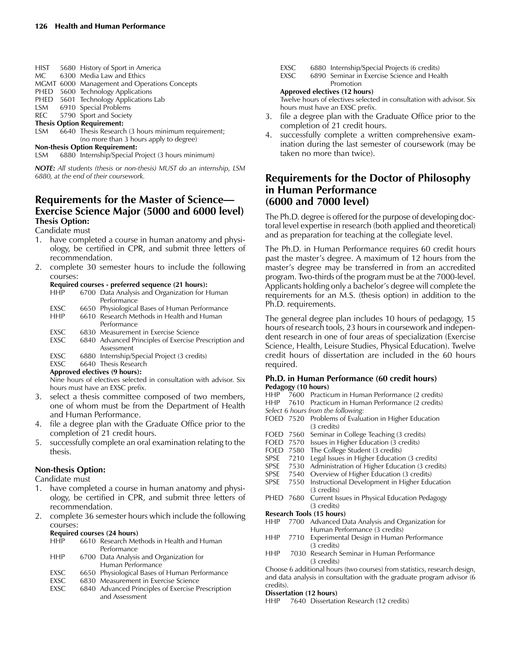| <b>HIST</b>                           | 5680 History of Sport in America                   |  |  |  |  |
|---------------------------------------|----------------------------------------------------|--|--|--|--|
| MC.                                   | 6300 Media Law and Ethics                          |  |  |  |  |
|                                       | MGMT 6000 Management and Operations Concepts       |  |  |  |  |
| <b>PHED</b>                           | 5600 Technology Applications                       |  |  |  |  |
| PHED                                  | 5601 Technology Applications Lab                   |  |  |  |  |
|                                       | LSM 6910 Special Problems                          |  |  |  |  |
| REC                                   | 5790 Sport and Society                             |  |  |  |  |
| <b>Thesis Option Requirement:</b>     |                                                    |  |  |  |  |
| LSM                                   | 6640 Thesis Research (3 hours minimum requirement; |  |  |  |  |
|                                       | (no more than 3 hours apply to degree)             |  |  |  |  |
| <b>Non-thesis Option Requirement:</b> |                                                    |  |  |  |  |

LSM 6880 Internship/Special Project (3 hours minimum)

*NOTE: All students (thesis or non-thesis) MUST do an internship, LSM 6880, at the end of their coursework.*

## **Requirements for the Master of Science— Exercise Science Major (5000 and 6000 level) Thesis Option:**

#### Candidate must

- 1. have completed a course in human anatomy and physiology, be certified in CPR, and submit three letters of recommendation.
- 2. complete 30 semester hours to include the following courses:

# **Required courses - preferred sequence (21 hours):**

- 6700 Data Analysis and Organization for Human Performance
- EXSC 6650 Physiological Bases of Human Performance<br>HHP 6610 Research Methods in Health and Human 6610 Research Methods in Health and Human Performance
- EXSC 6830 Measurement in Exercise Science<br>EXSC 6840 Advanced Principles of Exercise P
- 6840 Advanced Principles of Exercise Prescription and Assessment
- EXSC 6880 Internship/Special Project (3 credits)<br>EXSC 6640 Thesis Research 6640 Thesis Research

## **Approved electives (9 hours):**

 Nine hours of electives selected in consultation with advisor. Six hours must have an EXSC prefix.

- 3. select a thesis committee composed of two members, one of whom must be from the Department of Health and Human Performance.
- 4. file a degree plan with the Graduate Office prior to the completion of 21 credit hours.
- 5. successfully complete an oral examination relating to the thesis.

#### **Non-thesis Option:**

#### Candidate must

- 1. have completed a course in human anatomy and physiology, be certified in CPR, and submit three letters of recommendation.
- 2. complete 36 semester hours which include the following courses:

#### **Required courses (24 hours)**

| <b>HHP</b>  | 6610 Research Methods in Health and Human         |
|-------------|---------------------------------------------------|
|             | Performance                                       |
| <b>HHP</b>  | 6700 Data Analysis and Organization for           |
|             | Human Performance                                 |
| EXSC        | 6650 Physiological Bases of Human Performance     |
| EXSC.       | 6830 Measurement in Exercise Science              |
| <b>FXSC</b> | 6840 Advanced Principles of Exercise Prescription |
|             | and Assessment                                    |
|             |                                                   |

- 
- EXSC 6880 Internship/Special Projects (6 credits)<br>EXSC 6890 Seminar in Exercise Science and Hea 6890 Seminar in Exercise Science and Health

#### Promotion **Approved electives (12 hours)**

 Twelve hours of electives selected in consultation with advisor. Six hours must have an EXSC prefix.

- file a degree plan with the Graduate Office prior to the completion of 21 credit hours.
- 4. successfully complete a written comprehensive examination during the last semester of coursework (may be taken no more than twice).

## **Requirements for the Doctor of Philosophy in Human Performance (6000 and 7000 level)**

The Ph.D. degree is offered for the purpose of developing doctoral level expertise in research (both applied and theoretical) and as preparation for teaching at the collegiate level.

The Ph.D. in Human Performance requires 60 credit hours past the master's degree. A maximum of 12 hours from the master's degree may be transferred in from an accredited program. Two-thirds of the program must be at the 7000-level. Applicants holding only a bachelor's degree will complete the requirements for an M.S. (thesis option) in addition to the Ph.D. requirements.

The general degree plan includes 10 hours of pedagogy, 15 hours of research tools, 23 hours in coursework and independent research in one of four areas of specialization (Exercise Science, Health, Leisure Studies, Physical Education). Twelve credit hours of dissertation are included in the 60 hours required.

#### **Ph.D. in Human Performance (60 credit hours) Pedagogy (10 hours)**

HHP 7600 Practicum in Human Performance (2 credits) HHP 7610 Practicum in Human Performance (2 credits) *Select 6 hours from the following:* FOED 7520 Problems of Evaluation in Higher Education (3 credits) FOED 7560 Seminar in College Teaching (3 credits) FOED 7570 Issues in Higher Education (3 credits)<br>FOED 7580 The College Student (3 credits) The College Student (3 credits) SPSE 7210 Legal Issues in Higher Education (3 credits) SPSE 7530 Administration of Higher Education (3 credits)<br>SPSE 7540 Overview of Higher Education (3 credits) Overview of Higher Education (3 credits) SPSE 7550 Instructional Development in Higher Education (3 credits) PHED 7680 Current Issues in Physical Education Pedagogy (3 credits) **Research Tools (15 hours)** 7700 Advanced Data Analysis and Organization for Human Performance (3 credits) HHP 7710 Experimental Design in Human Performance (3 credits) HHP 7030 Research Seminar in Human Performance (3 credits) Choose 6 additional hours (two courses) from statistics, research design, and data analysis in consultation with the graduate program advisor (6 credits). **Dissertation (12 hours)**

HHP 7640 Dissertation Research (12 credits)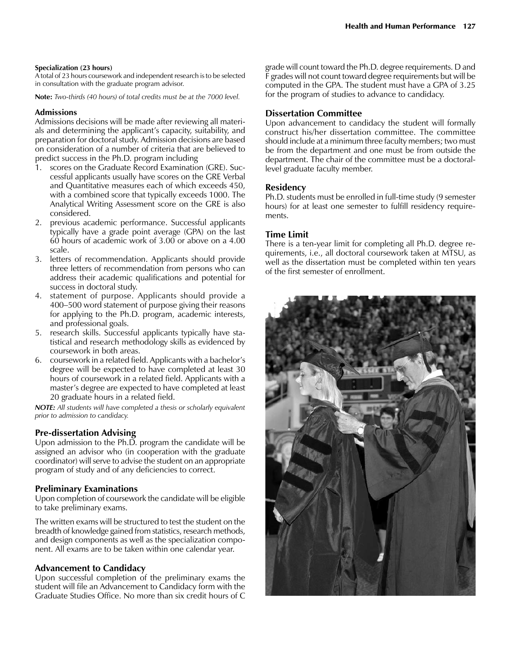#### **Specialization (23 hours)**

A total of 23 hours coursework and independent research is to be selected in consultation with the graduate program advisor.

**Note:** *Two-thirds (40 hours) of total credits must be at the 7000 level.*

## **Admissions**

Admissions decisions will be made after reviewing all materials and determining the applicant's capacity, suitability, and preparation for doctoral study. Admission decisions are based on consideration of a number of criteria that are believed to predict success in the Ph.D. program including

- 1. scores on the Graduate Record Examination (GRE). Successful applicants usually have scores on the GRE Verbal and Quantitative measures each of which exceeds 450, with a combined score that typically exceeds 1000. The Analytical Writing Assessment score on the GRE is also considered.
- 2. previous academic performance. Successful applicants typically have a grade point average (GPA) on the last 60 hours of academic work of 3.00 or above on a 4.00 scale.
- 3. letters of recommendation. Applicants should provide three letters of recommendation from persons who can address their academic qualifications and potential for success in doctoral study.
- 4. statement of purpose. Applicants should provide a 400–500 word statement of purpose giving their reasons for applying to the Ph.D. program, academic interests, and professional goals.
- 5. research skills. Successful applicants typically have statistical and research methodology skills as evidenced by coursework in both areas.
- 6. coursework in a related field. Applicants with a bachelor's degree will be expected to have completed at least 30 hours of coursework in a related field. Applicants with a master's degree are expected to have completed at least 20 graduate hours in a related field.

*NOTE: All students will have completed a thesis or scholarly equivalent prior to admission to candidacy.*

## **Pre-dissertation Advising**

Upon admission to the Ph.D. program the candidate will be assigned an advisor who (in cooperation with the graduate coordinator) will serve to advise the student on an appropriate program of study and of any deficiencies to correct.

## **Preliminary Examinations**

Upon completion of coursework the candidate will be eligible to take preliminary exams.

The written exams will be structured to test the student on the breadth of knowledge gained from statistics, research methods, and design components as well as the specialization component. All exams are to be taken within one calendar year.

## **Advancement to Candidacy**

Upon successful completion of the preliminary exams the student will file an Advancement to Candidacy form with the Graduate Studies Office. No more than six credit hours of C

grade will count toward the Ph.D. degree requirements. D and F grades will not count toward degree requirements but will be computed in the GPA. The student must have a GPA of 3.25 for the program of studies to advance to candidacy.

## **Dissertation Committee**

Upon advancement to candidacy the student will formally construct his/her dissertation committee. The committee should include at a minimum three faculty members; two must be from the department and one must be from outside the department. The chair of the committee must be a doctorallevel graduate faculty member.

## **Residency**

Ph.D. students must be enrolled in full-time study (9 semester hours) for at least one semester to fulfill residency requirements.

## **Time Limit**

There is a ten-year limit for completing all Ph.D. degree requirements, i.e., all doctoral coursework taken at MTSU, as well as the dissertation must be completed within ten years of the first semester of enrollment.

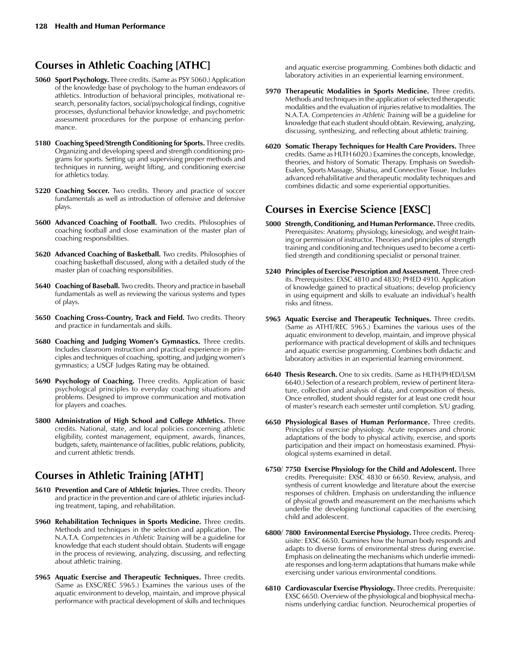## **Courses in Athletic Coaching [ATHC]**

- **5060 Sport Psychology.** Three credits. (Same as PSY 5060.) Application of the knowledge base of psychology to the human endeavors of athletics. Introduction of behavioral principles, motivational research, personality factors, social/psychological findings, cognitive processes, dysfunctional behavior knowledge, and psychometric assessment procedures for the purpose of enhancing performance.
- **5180 Coaching Speed/Strength Conditioning for Sports.** Three credits. Organizing and developing speed and strength conditioning programs for sports. Setting up and supervising proper methods and techniques in running, weight lifting, and conditioning exercise for athletics today.
- **5220 Coaching Soccer.** Two credits. Theory and practice of soccer fundamentals as well as introduction of offensive and defensive plays.
- **5600 Advanced Coaching of Football.** Two credits. Philosophies of coaching football and close examination of the master plan of coaching responsibilities.
- **5620 Advanced Coaching of Basketball.** Two credits. Philosophies of coaching basketball discussed, along with a detailed study of the master plan of coaching responsibilities.
- **5640 Coaching of Baseball.** Two credits. Theory and practice in baseball fundamentals as well as reviewing the various systems and types of plays.
- **5650 Coaching Cross-Country, Track and Field.** Two credits. Theory and practice in fundamentals and skills.
- **5680 Coaching and Judging Women's Gymnastics.** Three credits. Includes classroom instruction and practical experience in principles and techniques of coaching, spotting, and judging women's gymnastics; a USGF Judges Rating may be obtained.
- **5690 Psychology of Coaching.** Three credits. Application of basic psychological principles to everyday coaching situations and problems. Designed to improve communication and motivation for players and coaches.
- **5800 Administration of High School and College Athletics.** Three credits. National, state, and local policies concerning athletic eligibility, contest management, equipment, awards, finances, budgets, safety, maintenance of facilities, public relations, publicity, and current athletic trends.

## **Courses in Athletic Training [ATHT]**

- **5610 Prevention and Care of Athletic Injuries.** Three credits. Theory and practice in the prevention and care of athletic injuries including treatment, taping, and rehabilitation.
- **5960 Rehabilitation Techniques in Sports Medicine.** Three credits. Methods and techniques in the selection and application. The N.A.T.A. *Competencies in Athletic Training* will be a guideline for knowledge that each student should obtain. Students will engage in the process of reviewing, analyzing, discussing, and reflecting about athletic training.
- **5965 Aquatic Exercise and Therapeutic Techniques.** Three credits. (Same as EXSC/REC 5965.) Examines the various uses of the aquatic environment to develop, maintain, and improve physical performance with practical development of skills and techniques

and aquatic exercise programming. Combines both didactic and laboratory activities in an experiential learning environment.

- **5970 Therapeutic Modalities in Sports Medicine.** Three credits. Methods and techniques in the application of selected therapeutic modalities and the evaluation of injuries relative to modalities. The N.A.T.A. *Competencies in Athletic Training* will be a guideline for knowledge that each student should obtain. Reviewing, analyzing, discussing, synthesizing, and reflecting about athletic training.
- **6020 Somatic Therapy Techniques for Health Care Providers.** Three credits. (Same as HLTH 6020.) Examines the concepts, knowledge, theories, and history of Somatic Therapy. Emphasis on Swedish-Esalen, Sports Massage, Shiatsu, and Connective Tissue. Includes advanced rehabilitative and therapeutic modality techniques and combines didactic and some experiential opportunities.

## **Courses in Exercise Science [EXSC]**

- **5000 Strength, Conditioning, and Human Performance.** Three credits. Prerequisites: Anatomy, physiology, kinesiology, and weight training or permission of instructor. Theories and principles of strength training and conditioning and techniques used to become a certified strength and conditioning specialist or personal trainer.
- **5240 Principles of Exercise Prescription and Assessment.** Three credits. Prerequisites: EXSC 4810 and 4830; PHED 4910. Application of knowledge gained to practical situations; develop proficiency in using equipment and skills to evaluate an individual's health risks and fitness.
- **5965 Aquatic Exercise and Therapeutic Techniques.** Three credits. (Same as ATHT/REC 5965.) Examines the various uses of the aquatic environment to develop, maintain, and improve physical performance with practical development of skills and techniques and aquatic exercise programming. Combines both didactic and laboratory activities in an experiential learning environment.
- **6640 Thesis Research.** One to six credits. (Same as HLTH/PHED/LSM 6640.) Selection of a research problem, review of pertinent literature, collection and analysis of data, and composition of thesis. Once enrolled, student should register for at least one credit hour of master's research each semester until completion. S/U grading.
- **6650 Physiological Bases of Human Performance.** Three credits. Principles of exercise physiology. Acute responses and chronic adaptations of the body to physical activity, exercise, and sports participation and their impact on homeostasis examined. Physiological systems examined in detail.
- **6750/ 7750 Exercise Physiology for the Child and Adolescent.** Three credits. Prerequisite: EXSC 4830 or 6650. Review, analysis, and synthesis of current knowledge and literature about the exercise responses of children. Emphasis on understanding the influence of physical growth and measurement on the mechanisms which underlie the developing functional capacities of the exercising child and adolescent.
- **6800/ 7800 Environmental Exercise Physiology.** Three credits. Prerequisite: EXSC 6650. Examines how the human body responds and adapts to diverse forms of environmental stress during exercise. Emphasis on delineating the mechanisms which underlie immediate responses and long-term adaptations that humans make while exercising under various environmental conditions.
- **6810 Cardiovascular Exercise Physiology.** Three credits. Prerequisite: EXSC 6650. Overview of the physiological and biophysical mechanisms underlying cardiac function. Neurochemical properties of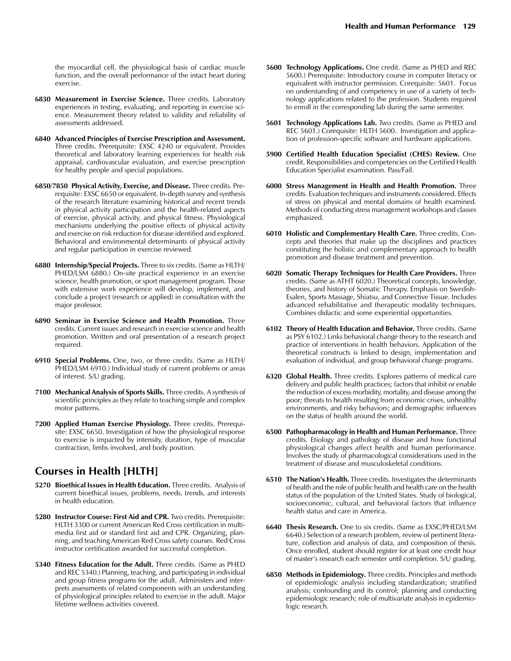the myocardial cell, the physiological basis of cardiac muscle function, and the overall performance of the intact heart during exercise.

- **6830 Measurement in Exercise Science.** Three credits. Laboratory experiences in testing, evaluating, and reporting in exercise science. Measurement theory related to validity and reliability of assessments addressed.
- **6840 Advanced Principles of Exercise Prescription and Assessment.** Three credits. Prerequisite: EXSC 4240 or equivalent. Provides theoretical and laboratory learning experiences for health risk appraisal, cardiovascular evaluation, and exercise prescription for healthy people and special populations.
- **6850/7850 Physical Activity, Exercise, and Disease.** Three credits. Prerequisite: EXSC 6650 or equivalent. In-depth survey and synthesis of the research literature examining historical and recent trends in physical activity participation and the health-related aspects of exercise, physical activity, and physical fitness. Physiological mechanisms underlying the positive effects of physical activity and exercise on risk reduction for disease identified and explored. Behavioral and environmental determinants of physical activity and regular participation in exercise reviewed.
- **6880 Internship/Special Projects.** Three to six credits. (Same as HLTH/ PHED/LSM 6880.) On-site practical experience in an exercise science, health promotion, or sport management program. Those with extensive work experience will develop, implement, and conclude a project (research or applied) in consultation with the major professor.
- **6890 Seminar in Exercise Science and Health Promotion.** Three credits. Current issues and research in exercise science and health promotion. Written and oral presentation of a research project required.
- **6910 Special Problems.** One, two, or three credits. (Same as HLTH/ PHED/LSM 6910.) Individual study of current problems or areas of interest. S/U grading.
- **7100 Mechanical Analysis of Sports Skills.** Three credits. A synthesis of scientific principles as they relate to teaching simple and complex motor patterns.
- **7200 Applied Human Exercise Physiology.** Three credits. Prerequisite: EXSC 6650. Investigation of how the physiological response to exercise is impacted by intensity, duration, type of muscular contraction, limbs involved, and body position.

## **Courses in Health [HLTH]**

- **5270 Bioethical Issues in Health Education.** Three credits. Analysis of current bioethical issues, problems, needs, trends, and interests in health education.
- **5280 Instructor Course: First Aid and CPR.** Two credits. Prerequisite: HLTH 3300 or current American Red Cross certification in multimedia first aid or standard first aid and CPR. Organizing, planning, and teaching American Red Cross safety courses. Red Cross instructor certification awarded for successful completion.
- **5340 Fitness Education for the Adult.** Three credits. (Same as PHED and REC 5340.) Planning, teaching, and participating in individual and group fitness programs for the adult. Administers and interprets assessments of related components with an understanding of physiological principles related to exercise in the adult. Major lifetime wellness activities covered.
- **5600 Technology Applications.** One credit. (Same as PHED and REC 5600.) Prerequisite: Introductory course in computer literacy or equivalent with instructor permission. Corequisite: 5601. Focus on understanding of and competency in use of a variety of technology applications related to the profession. Students required to enroll in the corresponding lab during the same semester.
- **5601 Technology Applications Lab.** Two credits. (Same as PHED and REC 5601.) Corequisite: HLTH 5600. Investigation and application of profession-specific software and hardware applications.
- **5900 Certified Health Education Specialist (CHES) Review.** One credit. Responsibilities and competencies on the Certified Health Education Specialist examination. Pass/Fail.
- **6000 Stress Management in Health and Health Promotion.** Three credits. Evaluation techniques and instruments considered. Effects of stress on physical and mental domains of health examined. Methods of conducting stress management workshops and classes emphasized.
- **6010 Holistic and Complementary Health Care.** Three credits. Concepts and theories that make up the disciplines and practices constituting the holistic and complementary approach to health promotion and disease treatment and prevention.
- **6020 Somatic Therapy Techniques for Health Care Providers.** Three credits. (Same as ATHT 6020.) Theoretical concepts, knowledge, theories, and history of Somatic Therapy. Emphasis on Swedish-Esalen, Sports Massage, Shiatsu, and Connective Tissue. Includes advanced rehabilitative and therapeutic modality techniques. Combines didactic and some experiential opportunities.
- **6102 Theory of Health Education and Behavior.** Three credits. (Same as PSY 6102.) Links behavioral change theory to the research and practice of interventions in health behaviors. Application of the theoretical constructs is linked to design, implementation and evaluation of individual, and group behavioral change programs.
- **6320 Global Health.** Three credits. Explores patterns of medical care delivery and public health practices; factors that inhibit or enable the reduction of excess morbidity, mortality, and disease among the poor; threats to health resulting from economic crises, unhealthy environments, and risky behaviors; and demographic influences on the status of health around the world.
- **6500 Pathopharmacology in Health and Human Performance.** Three credits. Etiology and pathology of disease and how functional physiological changes affect health and human performance. Involves the study of pharmacological considerations used in the treatment of disease and musculoskeletal conditions.
- **6510 The Nation's Health.** Three credits. Investigates the determinants of health and the role of public health and health care on the health status of the population of the United States. Study of biological, socioeconomic, cultural, and behavioral factors that influence health status and care in America.
- **6640 Thesis Research.** One to six credits. (Same as EXSC/PHED/LSM 6640.) Selection of a research problem, review of pertinent literature, collection and analysis of data, and composition of thesis. Once enrolled, student should register for at least one credit hour of master's research each semester until completion. S/U grading.
- **6850 Methods in Epidemiology.** Three credits. Principles and methods of epidemiologic analysis including standardization; stratified analysis; confounding and its control; planning and conducting epidemiologic research; role of multivariate analysis in epidemiologic research.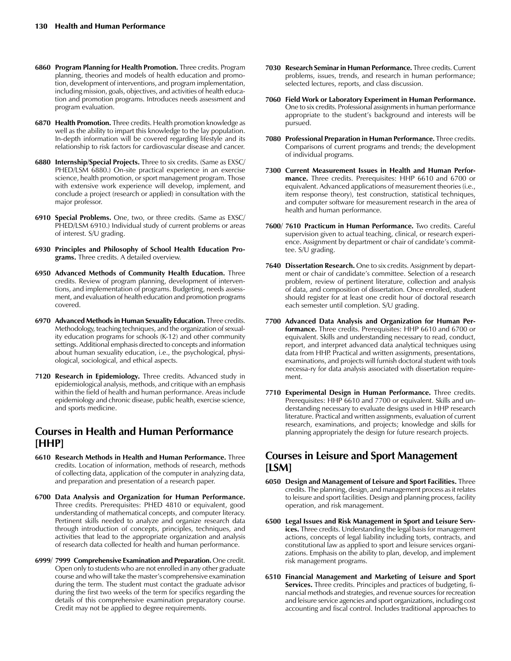- **6860 Program Planning for Health Promotion.** Three credits. Program planning, theories and models of health education and promotion, development of interventions, and program implementation, including mission, goals, objectives, and activities of health education and promotion programs. Introduces needs assessment and program evaluation.
- **6870 Health Promotion.** Three credits. Health promotion knowledge as well as the ability to impart this knowledge to the lay population. In-depth information will be covered regarding lifestyle and its relationship to risk factors for cardiovascular disease and cancer.
- **6880 Internship/Special Projects.** Three to six credits. (Same as EXSC/ PHED/LSM 6880.) On-site practical experience in an exercise science, health promotion, or sport management program. Those with extensive work experience will develop, implement, and conclude a project (research or applied) in consultation with the major professor.
- **6910 Special Problems.** One, two, or three credits. (Same as EXSC/ PHED/LSM 6910.) Individual study of current problems or areas of interest. S/U grading.
- **6930 Principles and Philosophy of School Health Education Programs.** Three credits. A detailed overview.
- **6950 Advanced Methods of Community Health Education.** Three credits. Review of program planning, development of interventions, and implementation of programs. Budgeting, needs assessment, and evaluation of health education and promotion programs covered.
- **6970 Advanced Methods in Human Sexuality Education.** Three credits. Methodology, teaching techniques, and the organization of sexuality education programs for schools (K-12) and other community settings. Additional emphasis directed to concepts and information about human sexuality education, i.e., the psychological, physiological, sociological, and ethical aspects.
- **7120 Research in Epidemiology.** Three credits. Advanced study in epidemiological analysis, methods, and critique with an emphasis within the field of health and human performance. Areas include epidemiology and chronic disease, public health, exercise science, and sports medicine.

## **Courses in Health and Human Performance [HHP]**

- **6610 Research Methods in Health and Human Performance.** Three credits. Location of information, methods of research, methods of collecting data, application of the computer in analyzing data, and preparation and presentation of a research paper.
- **6700 Data Analysis and Organization for Human Performance.**  Three credits. Prerequisites: PHED 4810 or equivalent, good understanding of mathematical concepts, and computer literacy. Pertinent skills needed to analyze and organize research data through introduction of concepts, principles, techniques, and activities that lead to the appropriate organization and analysis of research data collected for health and human performance.
- **6999/ 7999 Comprehensive Examination and Preparation.** One credit. Open only to students who are not enrolled in any other graduate course and who will take the master's comprehensive examination during the term. The student must contact the graduate advisor during the first two weeks of the term for specifics regarding the details of this comprehensive examination preparatory course. Credit may not be applied to degree requirements.
- **7030 Research Seminar in Human Performance.** Three credits. Current problems, issues, trends, and research in human performance; selected lectures, reports, and class discussion.
- **7060 Field Work or Laboratory Experiment in Human Performance.** One to six credits. Professional assignments in human performance appropriate to the student's background and interests will be pursued.
- **7080 Professional Preparation in Human Performance.** Three credits. Comparisons of current programs and trends; the development of individual programs.
- **7300 Current Measurement Issues in Health and Human Performance.** Three credits. Prerequisites: HHP 6610 and 6700 or equivalent. Advanced applications of measurement theories (i.e., item response theory), test construction, statistical techniques, and computer software for measurement research in the area of health and human performance.
- **7600/ 7610 Practicum in Human Performance.** Two credits. Careful supervision given to actual teaching, clinical, or research experience. Assignment by department or chair of candidate's committee. S/U grading.
- **7640 Dissertation Research.** One to six credits. Assignment by department or chair of candidate's committee. Selection of a research problem, review of pertinent literature, collection and analysis of data, and composition of dissertation. Once enrolled, student should register for at least one credit hour of doctoral research each semester until completion. S/U grading.
- **7700 Advanced Data Analysis and Organization for Human Performance.** Three credits. Prerequisites: HHP 6610 and 6700 or equivalent. Skills and understanding necessary to read, conduct, report, and interpret advanced data analytical techniques using data from HHP. Practical and written assignments, presentations, examinations, and projects will furnish doctoral student with tools necessa-ry for data analysis associated with dissertation requirement.
- **7710 Experimental Design in Human Performance.** Three credits. Prerequisites: HHP 6610 and 7700 or equivalent. Skills and understanding necessary to evaluate designs used in HHP research literature. Practical and written assignments, evaluation of current research, examinations, and projects; knowledge and skills for planning appropriately the design for future research projects.

## **Courses in Leisure and Sport Management [LSM]**

- **6050 Design and Management of Leisure and Sport Facilities.** Three credits. The planning, design, and management process as it relates to leisure and sport facilities. Design and planning process, facility operation, and risk management.
- **6500 Legal Issues and Risk Management in Sport and Leisure Services.** Three credits. Understanding the legal basis for management actions, concepts of legal liability including torts, contracts, and constitutional law as applied to sport and leisure services organizations. Emphasis on the ability to plan, develop, and implement risk management programs.
- **6510 Financial Management and Marketing of Leisure and Sport Services.** Three credits. Principles and practices of budgeting, financial methods and strategies, and revenue sources for recreation and leisure service agencies and sport organizations, including cost accounting and fiscal control. Includes traditional approaches to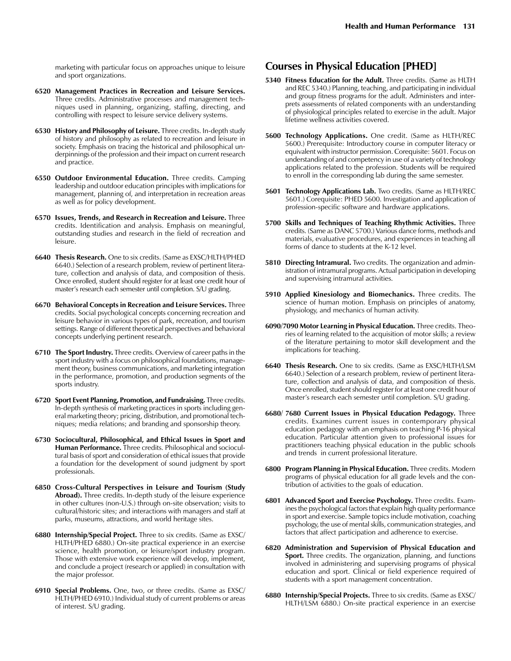marketing with particular focus on approaches unique to leisure and sport organizations.

- **6520 Management Practices in Recreation and Leisure Services.**  Three credits. Administrative processes and management techniques used in planning, organizing, staffing, directing, and controlling with respect to leisure service delivery systems.
- **6530 History and Philosophy of Leisure.** Three credits. In-depth study of history and philosophy as related to recreation and leisure in society. Emphasis on tracing the historical and philosophical underpinnings of the profession and their impact on current research and practice.
- **6550 Outdoor Environmental Education.** Three credits. Camping leadership and outdoor education principles with implications for management, planning of, and interpretation in recreation areas as well as for policy development.
- **6570 Issues, Trends, and Research in Recreation and Leisure.** Three credits. Identification and analysis. Emphasis on meaningful, outstanding studies and research in the field of recreation and leisure.
- **6640 Thesis Research.** One to six credits. (Same as EXSC/HLTH/PHED 6640.) Selection of a research problem, review of pertinent literature, collection and analysis of data, and composition of thesis. Once enrolled, student should register for at least one credit hour of master's research each semester until completion. S/U grading.
- **6670 Behavioral Concepts in Recreation and Leisure Services.** Three credits. Social psychological concepts concerning recreation and leisure behavior in various types of park, recreation, and tourism settings. Range of different theoretical perspectives and behavioral concepts underlying pertinent research.
- **6710 The Sport Industry.** Three credits. Overview of career paths in the sport industry with a focus on philosophical foundations, management theory, business communications, and marketing integration in the performance, promotion, and production segments of the sports industry.
- **6720 Sport Event Planning, Promotion, and Fundraising.** Three credits. In-depth synthesis of marketing practices in sports including general marketing theory; pricing, distribution, and promotional techniques; media relations; and branding and sponsorship theory.
- **6730 Sociocultural, Philosophical, and Ethical Issues in Sport and Human Performance.** Three credits. Philosophical and sociocultural basis of sport and consideration of ethical issues that provide a foundation for the development of sound judgment by sport professionals.
- **6850 Cross-Cultural Perspectives in Leisure and Tourism (Study Abroad).** Three credits. In-depth study of the leisure experience in other cultures (non-U.S.) through on-site observation; visits to cultural/historic sites; and interactions with managers and staff at parks, museums, attractions, and world heritage sites.
- **6880 Internship/Special Project.** Three to six credits. (Same as EXSC/ HLTH/PHED 6880.) On-site practical experience in an exercise science, health promotion, or leisure/sport industry program. Those with extensive work experience will develop, implement, and conclude a project (research or applied) in consultation with the major professor.
- **6910 Special Problems.** One, two, or three credits. (Same as EXSC/ HLTH/PHED 6910.) Individual study of current problems or areas of interest. S/U grading.

## **Courses in Physical Education [PHED]**

- **5340 Fitness Education for the Adult.** Three credits. (Same as HLTH and REC 5340.) Planning, teaching, and participating in individual and group fitness programs for the adult. Administers and interprets assessments of related components with an understanding of physiological principles related to exercise in the adult. Major lifetime wellness activities covered.
- **5600 Technology Applications.** One credit. (Same as HLTH/REC 5600.) Prerequisite: Introductory course in computer literacy or equivalent with instructor permission. Corequisite: 5601. Focus on understanding of and competency in use of a variety of technology applications related to the profession. Students will be required to enroll in the corresponding lab during the same semester.
- **5601 Technology Applications Lab.** Two credits. (Same as HLTH/REC 5601.) Corequisite: PHED 5600. Investigation and application of profession-specific software and hardware applications.
- **5700 Skills and Techniques of Teaching Rhythmic Activities.** Three credits. (Same as DANC 5700.) Various dance forms, methods and materials, evaluative procedures, and experiences in teaching all forms of dance to students at the K-12 level.
- **5810 Directing Intramural.** Two credits. The organization and administration of intramural programs. Actual participation in developing and supervising intramural activities.
- **5910 Applied Kinesiology and Biomechanics.** Three credits. The science of human motion. Emphasis on principles of anatomy, physiology, and mechanics of human activity.
- **6090/7090 Motor Learning in Physical Education.** Three credits. Theories of learning related to the acquisition of motor skills; a review of the literature pertaining to motor skill development and the implications for teaching.
- **6640 Thesis Research.** One to six credits. (Same as EXSC/HLTH/LSM 6640.) Selection of a research problem, review of pertinent literature, collection and analysis of data, and composition of thesis. Once enrolled, student should register for at least one credit hour of master's research each semester until completion. S/U grading.
- **6680/ 7680 Current Issues in Physical Education Pedagogy.** Three credits. Examines current issues in contemporary physical education pedagogy with an emphasis on teaching P-16 physical education. Particular attention given to professional issues for practitioners teaching physical education in the public schools and trends in current professional literature.
- **6800 Program Planning in Physical Education.** Three credits. Modern programs of physical education for all grade levels and the contribution of activities to the goals of education.
- **6801 Advanced Sport and Exercise Psychology.** Three credits. Examines the psychological factors that explain high quality performance in sport and exercise. Sample topics include motivation, coaching psychology, the use of mental skills, communication strategies, and factors that affect participation and adherence to exercise.
- **6820 Administration and Supervision of Physical Education and Sport.** Three credits. The organization, planning, and functions involved in administering and supervising programs of physical education and sport. Clinical or field experience required of students with a sport management concentration.
- **6880 Internship/Special Projects.** Three to six credits. (Same as EXSC/ HLTH/LSM 6880.) On-site practical experience in an exercise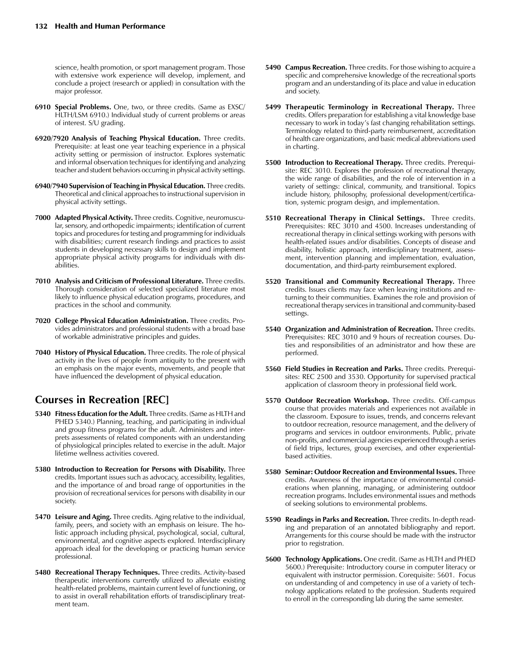science, health promotion, or sport management program. Those with extensive work experience will develop, implement, and conclude a project (research or applied) in consultation with the major professor.

- **6910 Special Problems.** One, two, or three credits. (Same as EXSC/ HLTH/LSM 6910.) Individual study of current problems or areas of interest. S/U grading.
- **6920/7920 Analysis of Teaching Physical Education.** Three credits. Prerequisite: at least one year teaching experience in a physical activity setting or permission of instructor. Explores systematic and informal observation techniques for identifying and analyzing teacher and student behaviors occurring in physical activity settings.
- **6940/7940 Supervision of Teaching in Physical Education.** Three credits. Theoretical and clinical approaches to instructional supervision in physical activity settings.
- **7000 Adapted Physical Activity.** Three credits. Cognitive, neuromuscular, sensory, and orthopedic impairments; identification of current topics and procedures for testing and programming for individuals with disabilities; current research findings and practices to assist students in developing necessary skills to design and implement appropriate physical activity programs for individuals with disabilities.
- **7010 Analysis and Criticism of Professional Literature.** Three credits. Thorough consideration of selected specialized literature most likely to influence physical education programs, procedures, and practices in the school and community.
- **7020 College Physical Education Administration.** Three credits. Provides administrators and professional students with a broad base of workable administrative principles and guides.
- **7040 History of Physical Education.** Three credits. The role of physical activity in the lives of people from antiquity to the present with an emphasis on the major events, movements, and people that have influenced the development of physical education.

## **Courses in Recreation [REC]**

- **5340 Fitness Education for the Adult.** Three credits. (Same as HLTH and PHED 5340.) Planning, teaching, and participating in individual and group fitness programs for the adult. Administers and interprets assessments of related components with an understanding of physiological principles related to exercise in the adult. Major lifetime wellness activities covered.
- **5380 Introduction to Recreation for Persons with Disability.** Three credits. Important issues such as advocacy, accessibility, legalities, and the importance of and broad range of opportunities in the provision of recreational services for persons with disability in our society.
- **5470 Leisure and Aging.** Three credits. Aging relative to the individual, family, peers, and society with an emphasis on leisure. The holistic approach including physical, psychological, social, cultural, environmental, and cognitive aspects explored. Interdisciplinary approach ideal for the developing or practicing human service professional.
- **5480 Recreational Therapy Techniques.** Three credits. Activity-based therapeutic interventions currently utilized to alleviate existing health-related problems, maintain current level of functioning, or to assist in overall rehabilitation efforts of transdisciplinary treatment team.
- **5490 Campus Recreation.** Three credits. For those wishing to acquire a specific and comprehensive knowledge of the recreational sports program and an understanding of its place and value in education and society.
- **5499 Therapeutic Terminology in Recreational Therapy.** Three credits. Offers preparation for establishing a vital knowledge base necessary to work in today's fast changing rehabilitation settings. Terminology related to third-party reimbursement, accreditation of health care organizations, and basic medical abbreviations used in charting.
- **5500 Introduction to Recreational Therapy.** Three credits. Prerequisite: REC 3010. Explores the profession of recreational therapy, the wide range of disabilities, and the role of intervention in a variety of settings: clinical, community, and transitional. Topics include history, philosophy, professional development/certification, systemic program design, and implementation.
- **5510 Recreational Therapy in Clinical Settings.** Three credits. Prerequisites: REC 3010 and 4500. Increases understanding of recreational therapy in clinical settings working with persons with health-related issues and/or disabilities. Concepts of disease and disability, holistic approach, interdisciplinary treatment, assessment, intervention planning and implementation, evaluation, documentation, and third-party reimbursement explored.
- **5520 Transitional and Community Recreational Therapy.** Three credits. Issues clients may face when leaving institutions and returning to their communities. Examines the role and provision of recreational therapy services in transitional and community-based settings.
- **5540 Organization and Administration of Recreation.** Three credits. Prerequisites: REC 3010 and 9 hours of recreation courses. Duties and responsibilities of an administrator and how these are performed.
- **5560 Field Studies in Recreation and Parks.** Three credits. Prerequisites: REC 2500 and 3530. Opportunity for supervised practical application of classroom theory in professional field work.
- **5570 Outdoor Recreation Workshop.** Three credits. Off-campus course that provides materials and experiences not available in the classroom. Exposure to issues, trends, and concerns relevant to outdoor recreation, resource management, and the delivery of programs and services in outdoor environments. Public, private non-profits, and commercial agencies experienced through a series of field trips, lectures, group exercises, and other experientialbased activities.
- **5580 Seminar: Outdoor Recreation and Environmental Issues.** Three credits. Awareness of the importance of environmental considerations when planning, managing, or administering outdoor recreation programs. Includes environmental issues and methods of seeking solutions to environmental problems.
- **5590 Readings in Parks and Recreation.** Three credits. In-depth reading and preparation of an annotated bibliography and report. Arrangements for this course should be made with the instructor prior to registration.
- **5600 Technology Applications.** One credit. (Same as HLTH and PHED 5600.) Prerequisite: Introductory course in computer literacy or equivalent with instructor permission. Corequisite: 5601. Focus on understanding of and competency in use of a variety of technology applications related to the profession. Students required to enroll in the corresponding lab during the same semester.